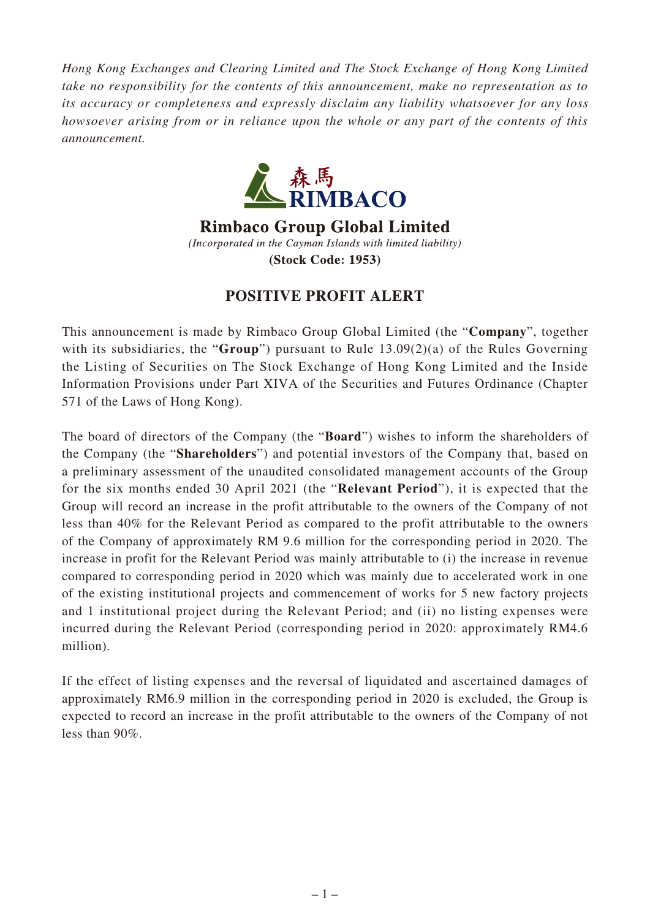*Hong Kong Exchanges and Clearing Limited and The Stock Exchange of Hong Kong Limited take no responsibility for the contents of this announcement, make no representation as to its accuracy or completeness and expressly disclaim any liability whatsoever for any loss howsoever arising from or in reliance upon the whole or any part of the contents of this announcement.*



**Rimbaco Group Global Limited** (Incorporated in the Cayman Islands with limited liability) **(Stock Code: 1953)** 

## **POSITIVE PROFIT ALERT**

This announcement is made by Rimbaco Group Global Limited (the "**Company**", together with its subsidiaries, the "**Group**") pursuant to Rule 13.09(2)(a) of the Rules Governing the Listing of Securities on The Stock Exchange of Hong Kong Limited and the Inside Information Provisions under Part XIVA of the Securities and Futures Ordinance (Chapter 571 of the Laws of Hong Kong).

The board of directors of the Company (the "**Board**") wishes to inform the shareholders of the Company (the "**Shareholders**") and potential investors of the Company that, based on a preliminary assessment of the unaudited consolidated management accounts of the Group for the six months ended 30 April 2021 (the "**Relevant Period**"), it is expected that the Group will record an increase in the profit attributable to the owners of the Company of not less than 40% for the Relevant Period as compared to the profit attributable to the owners of the Company of approximately RM 9.6 million for the corresponding period in 2020. The increase in profit for the Relevant Period was mainly attributable to (i) the increase in revenue compared to corresponding period in 2020 which was mainly due to accelerated work in one of the existing institutional projects and commencement of works for 5 new factory projects and 1 institutional project during the Relevant Period; and (ii) no listing expenses were incurred during the Relevant Period (corresponding period in 2020: approximately RM4.6 million).

If the effect of listing expenses and the reversal of liquidated and ascertained damages of approximately RM6.9 million in the corresponding period in 2020 is excluded, the Group is expected to record an increase in the profit attributable to the owners of the Company of not less than 90%.